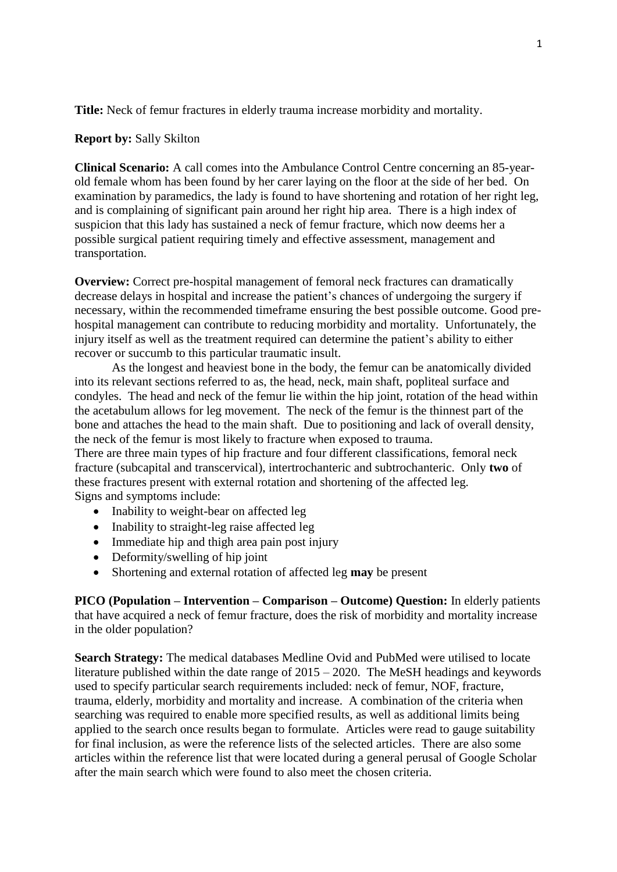**Title:** Neck of femur fractures in elderly trauma increase morbidity and mortality.

## **Report by:** Sally Skilton

**Clinical Scenario:** A call comes into the Ambulance Control Centre concerning an 85-yearold female whom has been found by her carer laying on the floor at the side of her bed. On examination by paramedics, the lady is found to have shortening and rotation of her right leg, and is complaining of significant pain around her right hip area. There is a high index of suspicion that this lady has sustained a neck of femur fracture, which now deems her a possible surgical patient requiring timely and effective assessment, management and transportation.

**Overview:** Correct pre-hospital management of femoral neck fractures can dramatically decrease delays in hospital and increase the patient's chances of undergoing the surgery if necessary, within the recommended timeframe ensuring the best possible outcome. Good prehospital management can contribute to reducing morbidity and mortality. Unfortunately, the injury itself as well as the treatment required can determine the patient's ability to either recover or succumb to this particular traumatic insult.

As the longest and heaviest bone in the body, the femur can be anatomically divided into its relevant sections referred to as, the head, neck, main shaft, popliteal surface and condyles. The head and neck of the femur lie within the hip joint, rotation of the head within the acetabulum allows for leg movement. The neck of the femur is the thinnest part of the bone and attaches the head to the main shaft. Due to positioning and lack of overall density, the neck of the femur is most likely to fracture when exposed to trauma.

There are three main types of hip fracture and four different classifications, femoral neck fracture (subcapital and transcervical), intertrochanteric and subtrochanteric. Only **two** of these fractures present with external rotation and shortening of the affected leg. Signs and symptoms include:

- Inability to weight-bear on affected leg
- Inability to straight-leg raise affected leg
- Immediate hip and thigh area pain post injury
- Deformity/swelling of hip joint
- Shortening and external rotation of affected leg **may** be present

**PICO (Population – Intervention – Comparison – Outcome) Question:** In elderly patients that have acquired a neck of femur fracture, does the risk of morbidity and mortality increase in the older population?

**Search Strategy:** The medical databases Medline Ovid and PubMed were utilised to locate literature published within the date range of 2015 – 2020. The MeSH headings and keywords used to specify particular search requirements included: neck of femur, NOF, fracture, trauma, elderly, morbidity and mortality and increase. A combination of the criteria when searching was required to enable more specified results, as well as additional limits being applied to the search once results began to formulate. Articles were read to gauge suitability for final inclusion, as were the reference lists of the selected articles. There are also some articles within the reference list that were located during a general perusal of Google Scholar after the main search which were found to also meet the chosen criteria.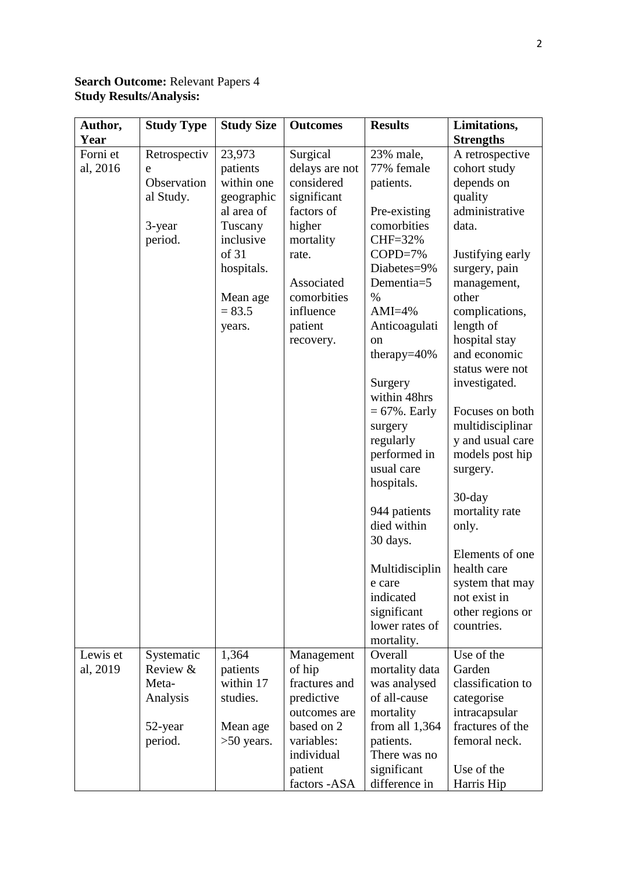## **Search Outcome:** Relevant Papers 4 **Study Results/Analysis:**

| Author,  | <b>Study Type</b> | <b>Study Size</b>    | <b>Outcomes</b>    | <b>Results</b>               | Limitations,                        |
|----------|-------------------|----------------------|--------------------|------------------------------|-------------------------------------|
| Year     |                   |                      |                    |                              | <b>Strengths</b>                    |
| Forni et | Retrospectiv      | 23,973               | Surgical           | 23% male,                    | A retrospective                     |
| al, 2016 | e                 | patients             | delays are not     | 77% female                   | cohort study                        |
|          | Observation       | within one           | considered         | patients.                    | depends on                          |
|          | al Study.         | geographic           | significant        |                              | quality                             |
|          |                   | al area of           | factors of         | Pre-existing                 | administrative                      |
|          | 3-year            | Tuscany<br>inclusive | higher             | comorbities<br>CHF=32%       | data.                               |
|          | period.           | of 31                | mortality<br>rate. | $COPD=7%$                    | Justifying early                    |
|          |                   | hospitals.           |                    | Diabetes=9%                  | surgery, pain                       |
|          |                   |                      | Associated         | Dementia=5                   | management,                         |
|          |                   | Mean age             | comorbities        | $\%$                         | other                               |
|          |                   | $= 83.5$             | influence          | $AMI=4%$                     | complications,                      |
|          |                   | years.               | patient            | Anticoagulati                | length of                           |
|          |                   |                      | recovery.          | <sub>on</sub>                | hospital stay                       |
|          |                   |                      |                    | therapy= $40\%$              | and economic                        |
|          |                   |                      |                    |                              | status were not                     |
|          |                   |                      |                    | Surgery                      | investigated.                       |
|          |                   |                      |                    | within 48hrs                 |                                     |
|          |                   |                      |                    | $= 67\%$ . Early             | Focuses on both                     |
|          |                   |                      |                    | surgery                      | multidisciplinar                    |
|          |                   |                      |                    | regularly<br>performed in    | y and usual care<br>models post hip |
|          |                   |                      |                    | usual care                   | surgery.                            |
|          |                   |                      |                    | hospitals.                   |                                     |
|          |                   |                      |                    |                              | $30$ -day                           |
|          |                   |                      |                    | 944 patients                 | mortality rate                      |
|          |                   |                      |                    | died within                  | only.                               |
|          |                   |                      |                    | 30 days.                     |                                     |
|          |                   |                      |                    |                              | Elements of one                     |
|          |                   |                      |                    | Multidisciplin               | health care                         |
|          |                   |                      |                    | e care                       | system that may                     |
|          |                   |                      |                    | indicated                    | not exist in                        |
|          |                   |                      |                    | significant                  | other regions or                    |
|          |                   |                      |                    | lower rates of<br>mortality. | countries.                          |
| Lewis et | Systematic        | 1,364                | Management         | Overall                      | Use of the                          |
| al, 2019 | Review &          | patients             | of hip             | mortality data               | Garden                              |
|          | Meta-             | within 17            | fractures and      | was analysed                 | classification to                   |
|          | Analysis          | studies.             | predictive         | of all-cause                 | categorise                          |
|          |                   |                      | outcomes are       | mortality                    | intracapsular                       |
|          | 52-year           | Mean age             | based on 2         | from all $1,364$             | fractures of the                    |
|          | period.           | $>50$ years.         | variables:         | patients.                    | femoral neck.                       |
|          |                   |                      | individual         | There was no                 |                                     |
|          |                   |                      | patient            | significant                  | Use of the                          |
|          |                   |                      | factors -ASA       | difference in                | Harris Hip                          |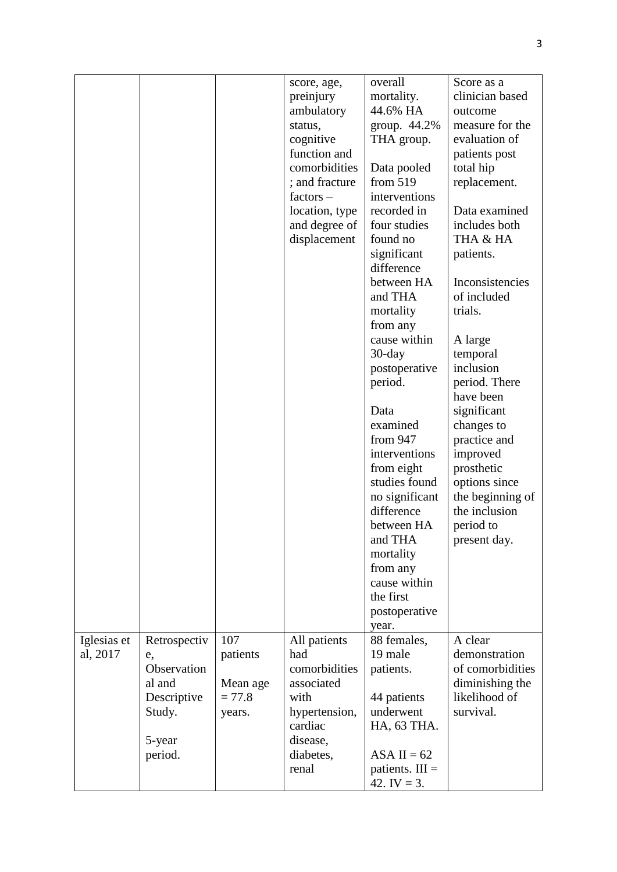|             |              |          | score, age,<br>preinjury | overall<br>mortality.     | Score as a<br>clinician based |
|-------------|--------------|----------|--------------------------|---------------------------|-------------------------------|
|             |              |          | ambulatory               | 44.6% HA                  | outcome                       |
|             |              |          | status,                  | group. 44.2%              | measure for the               |
|             |              |          | cognitive                | THA group.                | evaluation of                 |
|             |              |          | function and             |                           | patients post                 |
|             |              |          | comorbidities            | Data pooled               | total hip                     |
|             |              |          | ; and fracture           | from $519$                | replacement.                  |
|             |              |          | $factors -$              | interventions             |                               |
|             |              |          | location, type           | recorded in               | Data examined                 |
|             |              |          | and degree of            | four studies              | includes both                 |
|             |              |          | displacement             | found no                  | THA & HA                      |
|             |              |          |                          | significant<br>difference | patients.                     |
|             |              |          |                          | between HA                | Inconsistencies               |
|             |              |          |                          | and THA                   | of included                   |
|             |              |          |                          | mortality                 | trials.                       |
|             |              |          |                          | from any                  |                               |
|             |              |          |                          | cause within              | A large                       |
|             |              |          |                          | $30$ -day                 | temporal                      |
|             |              |          |                          | postoperative<br>period.  | inclusion<br>period. There    |
|             |              |          |                          |                           | have been                     |
|             |              |          |                          | Data                      | significant                   |
|             |              |          |                          | examined                  | changes to                    |
|             |              |          |                          | from 947                  | practice and                  |
|             |              |          |                          | interventions             | improved                      |
|             |              |          |                          | from eight                | prosthetic                    |
|             |              |          |                          | studies found             | options since                 |
|             |              |          |                          | no significant            | the beginning of              |
|             |              |          |                          | difference                | the inclusion                 |
|             |              |          |                          | between HA                | period to                     |
|             |              |          |                          | and THA                   | present day.                  |
|             |              |          |                          | mortality                 |                               |
|             |              |          |                          | from any                  |                               |
|             |              |          |                          | cause within              |                               |
|             |              |          |                          | the first                 |                               |
|             |              |          |                          | postoperative             |                               |
| Iglesias et | Retrospectiv | 107      | All patients             | year.<br>88 females,      | A clear                       |
| al, 2017    | e,           | patients | had                      | 19 male                   | demonstration                 |
|             | Observation  |          | comorbidities            | patients.                 | of comorbidities              |
|             | al and       | Mean age | associated               |                           | diminishing the               |
|             | Descriptive  | $= 77.8$ | with                     | 44 patients               | likelihood of                 |
|             | Study.       | years.   | hypertension,            | underwent                 | survival.                     |
|             |              |          | cardiac                  | HA, 63 THA.               |                               |
|             | 5-year       |          | disease,                 |                           |                               |
|             | period.      |          | diabetes,                | ASA II = $62$             |                               |
|             |              |          | renal                    | patients. $III =$         |                               |
|             |              |          |                          | 42. IV = $3$ .            |                               |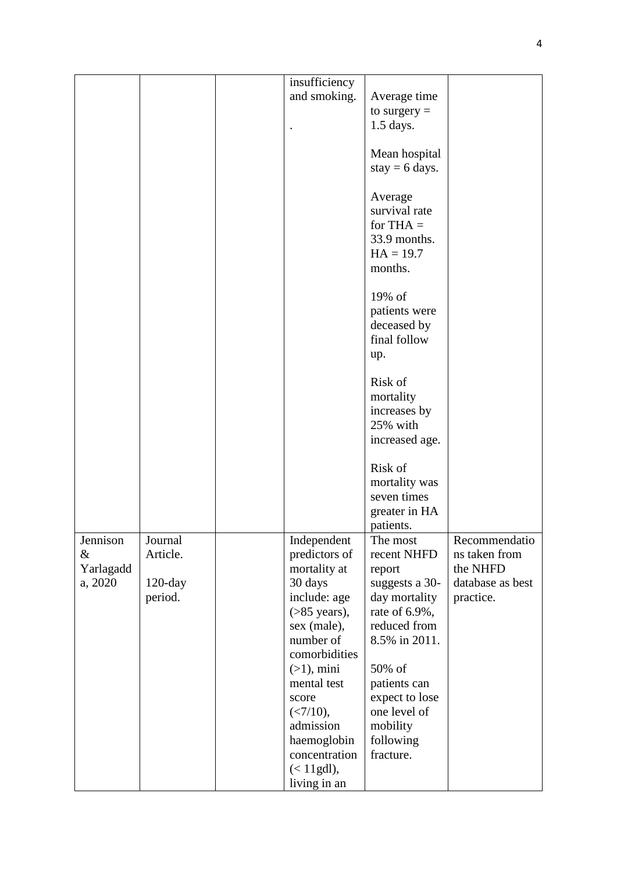| insufficiency<br>and smoking.<br>Average time<br>to surgery $=$<br>$1.5$ days.<br>Mean hospital<br>stay = $6$ days.<br>Average<br>survival rate<br>for THA $=$<br>33.9 months.<br>$HA = 19.7$<br>months.<br>19% of<br>patients were<br>deceased by<br>final follow<br>up.<br>Risk of<br>mortality<br>increases by<br>25% with<br>increased age.<br>Risk of<br>mortality was<br>seven times<br>greater in HA<br>patients.<br>Jennison<br>Journal<br>Independent<br>The most<br>Recommendatio<br>&<br>Article.<br>predictors of<br>recent NHFD<br>ns taken from<br>Yarlagadd<br>mortality at<br>the NHFD<br>report<br>30 days<br>database as best<br>a, 2020<br>suggests a 30-<br>$120$ -day |
|--------------------------------------------------------------------------------------------------------------------------------------------------------------------------------------------------------------------------------------------------------------------------------------------------------------------------------------------------------------------------------------------------------------------------------------------------------------------------------------------------------------------------------------------------------------------------------------------------------------------------------------------------------------------------------------------|
|                                                                                                                                                                                                                                                                                                                                                                                                                                                                                                                                                                                                                                                                                            |
|                                                                                                                                                                                                                                                                                                                                                                                                                                                                                                                                                                                                                                                                                            |
|                                                                                                                                                                                                                                                                                                                                                                                                                                                                                                                                                                                                                                                                                            |
|                                                                                                                                                                                                                                                                                                                                                                                                                                                                                                                                                                                                                                                                                            |
|                                                                                                                                                                                                                                                                                                                                                                                                                                                                                                                                                                                                                                                                                            |
|                                                                                                                                                                                                                                                                                                                                                                                                                                                                                                                                                                                                                                                                                            |
|                                                                                                                                                                                                                                                                                                                                                                                                                                                                                                                                                                                                                                                                                            |
|                                                                                                                                                                                                                                                                                                                                                                                                                                                                                                                                                                                                                                                                                            |
|                                                                                                                                                                                                                                                                                                                                                                                                                                                                                                                                                                                                                                                                                            |
|                                                                                                                                                                                                                                                                                                                                                                                                                                                                                                                                                                                                                                                                                            |
|                                                                                                                                                                                                                                                                                                                                                                                                                                                                                                                                                                                                                                                                                            |
|                                                                                                                                                                                                                                                                                                                                                                                                                                                                                                                                                                                                                                                                                            |
|                                                                                                                                                                                                                                                                                                                                                                                                                                                                                                                                                                                                                                                                                            |
|                                                                                                                                                                                                                                                                                                                                                                                                                                                                                                                                                                                                                                                                                            |
|                                                                                                                                                                                                                                                                                                                                                                                                                                                                                                                                                                                                                                                                                            |
|                                                                                                                                                                                                                                                                                                                                                                                                                                                                                                                                                                                                                                                                                            |
|                                                                                                                                                                                                                                                                                                                                                                                                                                                                                                                                                                                                                                                                                            |
|                                                                                                                                                                                                                                                                                                                                                                                                                                                                                                                                                                                                                                                                                            |
|                                                                                                                                                                                                                                                                                                                                                                                                                                                                                                                                                                                                                                                                                            |
|                                                                                                                                                                                                                                                                                                                                                                                                                                                                                                                                                                                                                                                                                            |
|                                                                                                                                                                                                                                                                                                                                                                                                                                                                                                                                                                                                                                                                                            |
|                                                                                                                                                                                                                                                                                                                                                                                                                                                                                                                                                                                                                                                                                            |
|                                                                                                                                                                                                                                                                                                                                                                                                                                                                                                                                                                                                                                                                                            |
|                                                                                                                                                                                                                                                                                                                                                                                                                                                                                                                                                                                                                                                                                            |
|                                                                                                                                                                                                                                                                                                                                                                                                                                                                                                                                                                                                                                                                                            |
|                                                                                                                                                                                                                                                                                                                                                                                                                                                                                                                                                                                                                                                                                            |
|                                                                                                                                                                                                                                                                                                                                                                                                                                                                                                                                                                                                                                                                                            |
|                                                                                                                                                                                                                                                                                                                                                                                                                                                                                                                                                                                                                                                                                            |
|                                                                                                                                                                                                                                                                                                                                                                                                                                                                                                                                                                                                                                                                                            |
|                                                                                                                                                                                                                                                                                                                                                                                                                                                                                                                                                                                                                                                                                            |
|                                                                                                                                                                                                                                                                                                                                                                                                                                                                                                                                                                                                                                                                                            |
|                                                                                                                                                                                                                                                                                                                                                                                                                                                                                                                                                                                                                                                                                            |
|                                                                                                                                                                                                                                                                                                                                                                                                                                                                                                                                                                                                                                                                                            |
|                                                                                                                                                                                                                                                                                                                                                                                                                                                                                                                                                                                                                                                                                            |
| include: age<br>period.<br>day mortality<br>practice.                                                                                                                                                                                                                                                                                                                                                                                                                                                                                                                                                                                                                                      |
| $($ >85 years),<br>rate of 6.9%,                                                                                                                                                                                                                                                                                                                                                                                                                                                                                                                                                                                                                                                           |
| reduced from<br>sex (male),                                                                                                                                                                                                                                                                                                                                                                                                                                                                                                                                                                                                                                                                |
| number of<br>8.5% in 2011.                                                                                                                                                                                                                                                                                                                                                                                                                                                                                                                                                                                                                                                                 |
| comorbidities                                                                                                                                                                                                                                                                                                                                                                                                                                                                                                                                                                                                                                                                              |
| 50% of<br>$(>1)$ , mini                                                                                                                                                                                                                                                                                                                                                                                                                                                                                                                                                                                                                                                                    |
| mental test<br>patients can                                                                                                                                                                                                                                                                                                                                                                                                                                                                                                                                                                                                                                                                |
| expect to lose<br>score                                                                                                                                                                                                                                                                                                                                                                                                                                                                                                                                                                                                                                                                    |
| $(<7/10)$ ,<br>one level of<br>admission                                                                                                                                                                                                                                                                                                                                                                                                                                                                                                                                                                                                                                                   |
| mobility                                                                                                                                                                                                                                                                                                                                                                                                                                                                                                                                                                                                                                                                                   |
| haemoglobin<br>following<br>concentration<br>fracture.                                                                                                                                                                                                                                                                                                                                                                                                                                                                                                                                                                                                                                     |
| $(< 11$ gdl),                                                                                                                                                                                                                                                                                                                                                                                                                                                                                                                                                                                                                                                                              |
| living in an                                                                                                                                                                                                                                                                                                                                                                                                                                                                                                                                                                                                                                                                               |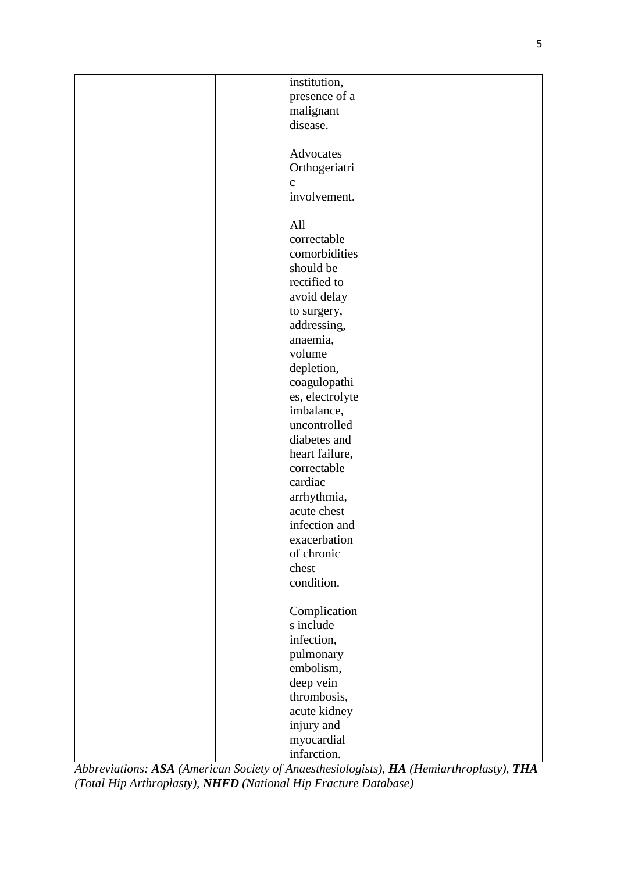|  | institution,              |  |
|--|---------------------------|--|
|  | presence of a             |  |
|  | malignant                 |  |
|  | disease.                  |  |
|  |                           |  |
|  |                           |  |
|  | Advocates                 |  |
|  | Orthogeriatri             |  |
|  | $\mathbf c$               |  |
|  | involvement.              |  |
|  |                           |  |
|  | All                       |  |
|  | correctable               |  |
|  | comorbidities             |  |
|  | should be                 |  |
|  | rectified to              |  |
|  | avoid delay               |  |
|  | to surgery,               |  |
|  | addressing,               |  |
|  | anaemia,                  |  |
|  | volume                    |  |
|  | depletion,                |  |
|  | coagulopathi              |  |
|  | es, electrolyte           |  |
|  | imbalance,                |  |
|  | uncontrolled              |  |
|  | diabetes and              |  |
|  | heart failure,            |  |
|  | correctable               |  |
|  | cardiac                   |  |
|  | arrhythmia,               |  |
|  | acute chest               |  |
|  | infection and             |  |
|  | exacerbation              |  |
|  | of chronic                |  |
|  | chest                     |  |
|  | condition.                |  |
|  |                           |  |
|  |                           |  |
|  | Complication<br>s include |  |
|  | infection,                |  |
|  |                           |  |
|  | pulmonary                 |  |
|  | embolism,                 |  |
|  | deep vein                 |  |
|  | thrombosis,               |  |
|  | acute kidney              |  |
|  | injury and                |  |
|  | myocardial                |  |
|  | infarction.               |  |

*Abbreviations: ASA (American Society of Anaesthesiologists), HA (Hemiarthroplasty), THA (Total Hip Arthroplasty), NHFD (National Hip Fracture Database)*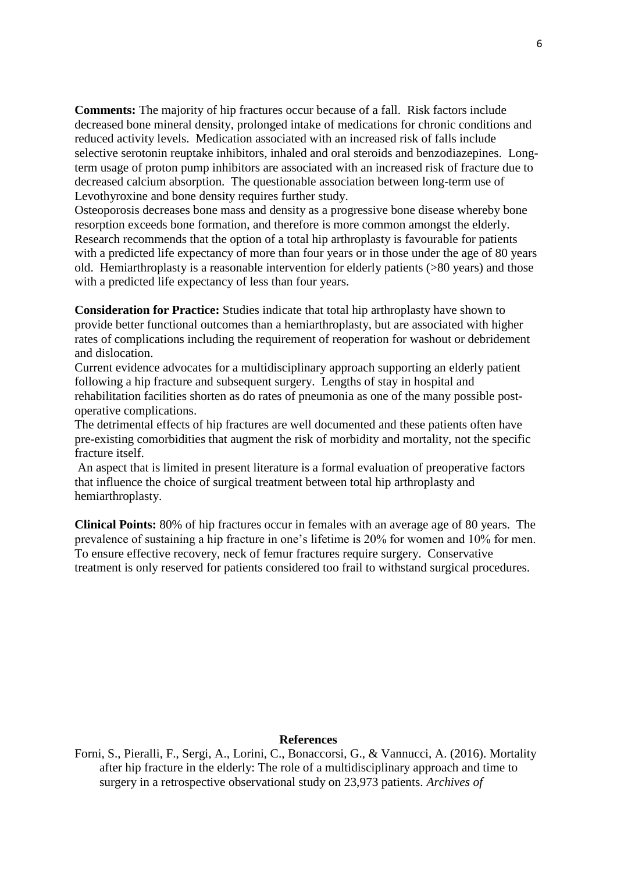**Comments:** The majority of hip fractures occur because of a fall. Risk factors include decreased bone mineral density, prolonged intake of medications for chronic conditions and reduced activity levels. Medication associated with an increased risk of falls include selective serotonin reuptake inhibitors, inhaled and oral steroids and benzodiazepines. Longterm usage of proton pump inhibitors are associated with an increased risk of fracture due to decreased calcium absorption. The questionable association between long-term use of Levothyroxine and bone density requires further study.

Osteoporosis decreases bone mass and density as a progressive bone disease whereby bone resorption exceeds bone formation, and therefore is more common amongst the elderly. Research recommends that the option of a total hip arthroplasty is favourable for patients with a predicted life expectancy of more than four years or in those under the age of 80 years old. Hemiarthroplasty is a reasonable intervention for elderly patients (>80 years) and those with a predicted life expectancy of less than four years.

**Consideration for Practice:** Studies indicate that total hip arthroplasty have shown to provide better functional outcomes than a hemiarthroplasty, but are associated with higher rates of complications including the requirement of reoperation for washout or debridement and dislocation.

Current evidence advocates for a multidisciplinary approach supporting an elderly patient following a hip fracture and subsequent surgery. Lengths of stay in hospital and rehabilitation facilities shorten as do rates of pneumonia as one of the many possible postoperative complications.

The detrimental effects of hip fractures are well documented and these patients often have pre-existing comorbidities that augment the risk of morbidity and mortality, not the specific fracture itself.

An aspect that is limited in present literature is a formal evaluation of preoperative factors that influence the choice of surgical treatment between total hip arthroplasty and hemiarthroplasty.

**Clinical Points:** 80% of hip fractures occur in females with an average age of 80 years. The prevalence of sustaining a hip fracture in one's lifetime is 20% for women and 10% for men. To ensure effective recovery, neck of femur fractures require surgery. Conservative treatment is only reserved for patients considered too frail to withstand surgical procedures.

## **References**

Forni, S., Pieralli, F., Sergi, A., Lorini, C., Bonaccorsi, G., & Vannucci, A. (2016). Mortality after hip fracture in the elderly: The role of a multidisciplinary approach and time to surgery in a retrospective observational study on 23,973 patients. *Archives of*